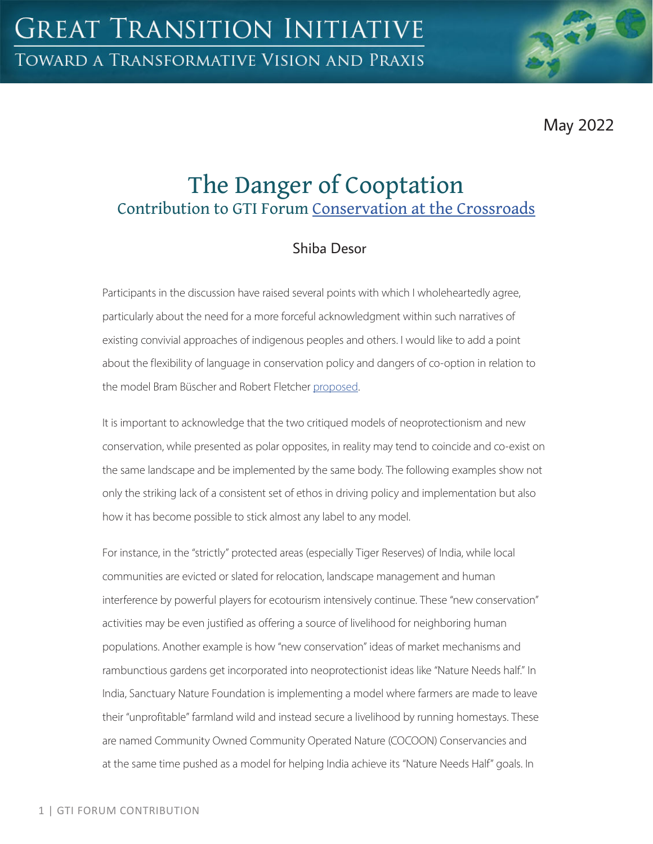May 2022

# The Danger of Cooptation Contribution to GTI Forum [Conservation at the Crossroads](https://greattransition.org/gti-forum/conservation-at-the-crossroads)

## Shiba Desor

Participants in the discussion have raised several points with which I wholeheartedly agree, particularly about the need for a more forceful acknowledgment within such narratives of existing convivial approaches of indigenous peoples and others. I would like to add a point about the flexibility of language in conservation policy and dangers of co-option in relation to the model Bram Büscher and Robert Fletcher [proposed.](https://greattransition.org/gti-forum/conservation-buscher-fletcher)

It is important to acknowledge that the two critiqued models of neoprotectionism and new conservation, while presented as polar opposites, in reality may tend to coincide and co-exist on the same landscape and be implemented by the same body. The following examples show not only the striking lack of a consistent set of ethos in driving policy and implementation but also how it has become possible to stick almost any label to any model.

For instance, in the "strictly" protected areas (especially Tiger Reserves) of India, while local communities are evicted or slated for relocation, landscape management and human interference by powerful players for ecotourism intensively continue. These "new conservation" activities may be even justified as offering a source of livelihood for neighboring human populations. Another example is how "new conservation" ideas of market mechanisms and rambunctious gardens get incorporated into neoprotectionist ideas like "Nature Needs half." In India, Sanctuary Nature Foundation is implementing a model where farmers are made to leave their "unprofitable" farmland wild and instead secure a livelihood by running homestays. These are named Community Owned Community Operated Nature (COCOON) Conservancies and at the same time pushed as a model for helping India achieve its "Nature Needs Half" goals. In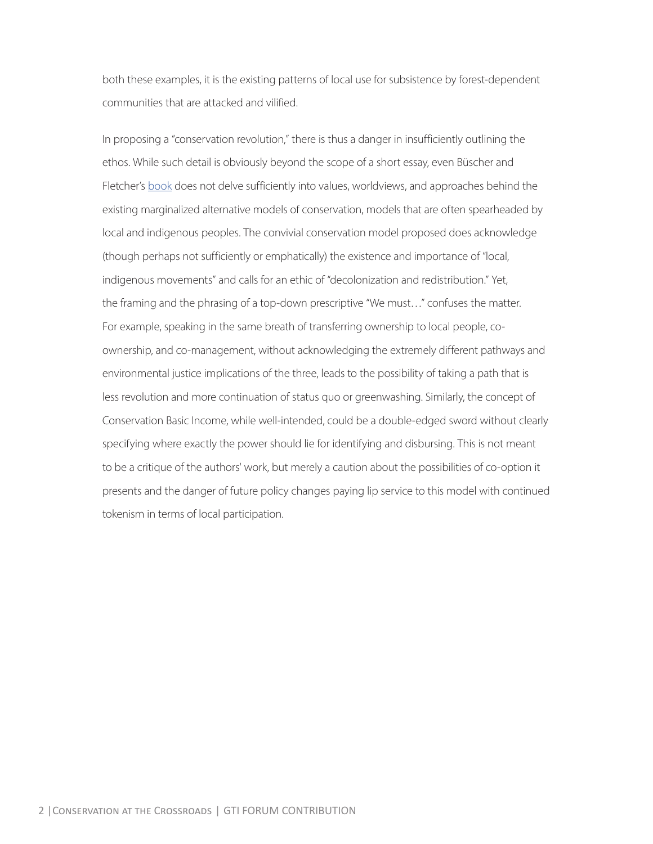both these examples, it is the existing patterns of local use for subsistence by forest-dependent communities that are attacked and vilified.

In proposing a "conservation revolution," there is thus a danger in insufficiently outlining the ethos. While such detail is obviously beyond the scope of a short essay, even Büscher and Fletcher's [book](https://www.versobooks.com/books/3149-the-conservation-revolution) does not delve sufficiently into values, worldviews, and approaches behind the existing marginalized alternative models of conservation, models that are often spearheaded by local and indigenous peoples. The convivial conservation model proposed does acknowledge (though perhaps not sufficiently or emphatically) the existence and importance of "local, indigenous movements" and calls for an ethic of "decolonization and redistribution." Yet, the framing and the phrasing of a top-down prescriptive "We must…" confuses the matter. For example, speaking in the same breath of transferring ownership to local people, coownership, and co-management, without acknowledging the extremely different pathways and environmental justice implications of the three, leads to the possibility of taking a path that is less revolution and more continuation of status quo or greenwashing. Similarly, the concept of Conservation Basic Income, while well-intended, could be a double-edged sword without clearly specifying where exactly the power should lie for identifying and disbursing. This is not meant to be a critique of the authors' work, but merely a caution about the possibilities of co-option it presents and the danger of future policy changes paying lip service to this model with continued tokenism in terms of local participation.